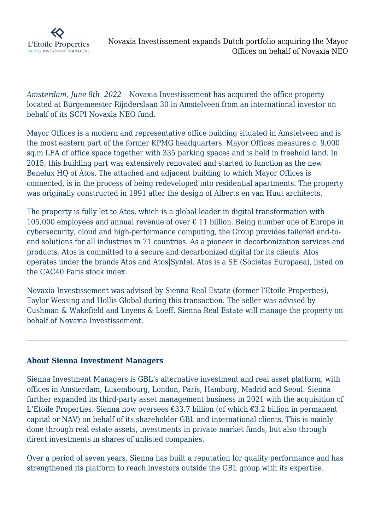

*Amsterdam, June 8th 2022 –* Novaxia Investissement has acquired the office property located at Burgemeester Rijnderslaan 30 in Amstelveen from an international investor on behalf of its SCPI Novaxia NEO fund.

Mayor Offices is a modern and representative office building situated in Amstelveen and is the most eastern part of the former KPMG headquarters. Mayor Offices measures c. 9,000 sq.m LFA of office space together with 335 parking spaces and is held in freehold land. In 2015, this building part was extensively renovated and started to function as the new Benelux HQ of Atos. The attached and adjacent building to which Mayor Offices is connected, is in the process of being redeveloped into residential apartments. The property was originally constructed in 1991 after the design of Alberts en van Huut architects.

The property is fully let to Atos, which is a global leader in digital transformation with 105,000 employees and annual revenue of over  $\epsilon$  11 billion. Being number one of Europe in cybersecurity, cloud and high-performance computing, the Group provides tailored end-toend solutions for all industries in 71 countries. As a pioneer in decarbonization services and products, Atos is committed to a secure and decarbonized digital for its clients. Atos operates under the brands Atos and Atos|Syntel. Atos is a SE (Societas Europaea), listed on the CAC40 Paris stock index.

Novaxia Investissement was advised by Sienna Real Estate (former l'Etoile Properties), Taylor Wessing and Hollis Global during this transaction. The seller was advised by Cushman & Wakefield and Loyens & Loeff. Sienna Real Estate will manage the property on behalf of Novaxia Investissement.

## **About Sienna Investment Managers**

Sienna Investment Managers is GBL's alternative investment and real asset platform, with offices in Amsterdam, Luxembourg, London, Paris, Hamburg, Madrid and Seoul. Sienna further expanded its third-party asset management business in 2021 with the acquisition of L'Etoile Properties. Sienna now oversees €33.7 billion (of which €3.2 billion in permanent capital or NAV) on behalf of its shareholder GBL and international clients. This is mainly done through real estate assets, investments in private market funds, but also through direct investments in shares of unlisted companies.

Over a period of seven years, Sienna has built a reputation for quality performance and has strengthened its platform to reach investors outside the GBL group with its expertise.